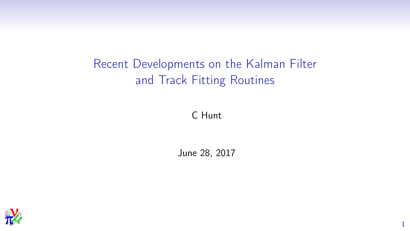# Recent Developments on the Kalman Filter and Track Fitting Routines

C Hunt

June 28, 2017

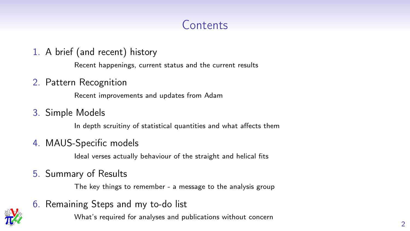# **Contents**

1. A brief (and recent) history

Recent happenings, current status and the current results

2. Pattern Recognition

Recent improvements and updates from Adam

3. Simple Models

In depth scruitiny of statistical quantities and what affects them

4. MAUS-Specific models

Ideal verses actually behaviour of the straight and helical fits

5. Summary of Results

The key things to remember - a message to the analysis group

6. Remaining Steps and my to-do list

What's required for analyses and publications without concern

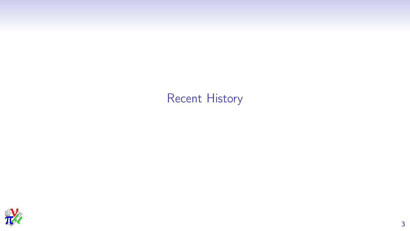# Recent History

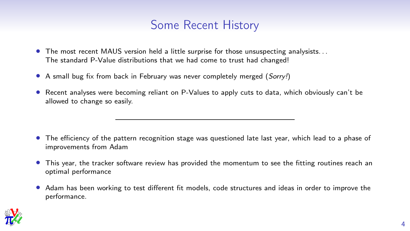### Some Recent History

- The most recent MAUS version held a little surprise for those unsuspecting analysists. . . The standard P-Value distributions that we had come to trust had changed!
- A small bug fix from back in February was never completely merged (Sorry!)
- Recent analyses were becoming reliant on P-Values to apply cuts to data, which obviously can't be allowed to change so easily.

- The efficiency of the pattern recognition stage was questioned late last year, which lead to a phase of improvements from Adam
- This year, the tracker software review has provided the momentum to see the fitting routines reach an optimal performance
- Adam has been working to test different fit models, code structures and ideas in order to improve the performance.

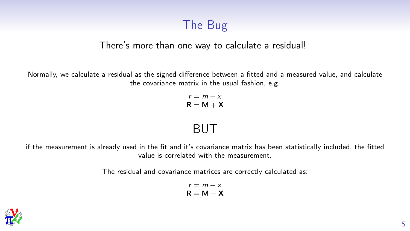# The Bug

#### There's more than one way to calculate a residual!

Normally, we calculate a residual as the signed difference between a fitted and a measured value, and calculate the covariance matrix in the usual fashion, e.g.

> $r = m - x$  $R = M + X$

### BUT

if the measurement is already used in the fit and it's covariance matrix has been statistically included, the fitted value is correlated with the measurement.

The residual and covariance matrices are correctly calculated as:

$$
\begin{array}{c} r = m - x \\ \mathbf{R} = \mathbf{M} - \mathbf{X} \end{array}
$$

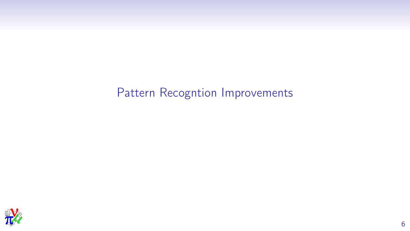# Pattern Recogntion Improvements

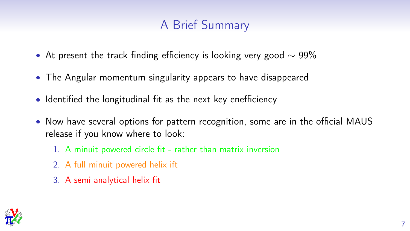# A Brief Summary

- At present the track finding efficiency is looking very good  $\sim$  99%
- The Angular momentum singularity appears to have disappeared
- Identified the longitudinal fit as the next key enefficiency
- Now have several options for pattern recognition, some are in the official MAUS release if you know where to look:
	- 1. A minuit powered circle fit rather than matrix inversion
	- 2. A full minuit powered helix ift
	- 3. A semi analytical helix fit

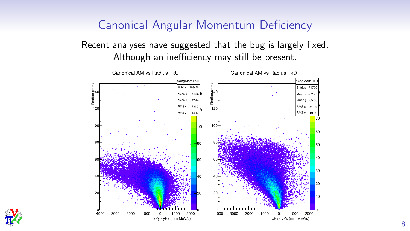## Canonical Angular Momentum Deficiency

Recent analyses have suggested that the bug is largely fixed. Although an inefficiency may still be present.



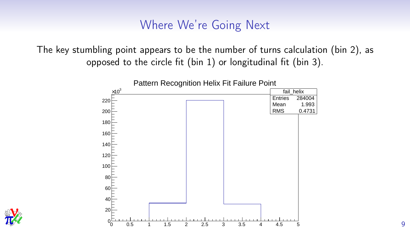### Where We're Going Next

The key stumbling point appears to be the number of turns calculation (bin 2), as opposed to the circle fit (bin 1) or longitudinal fit (bin 3).





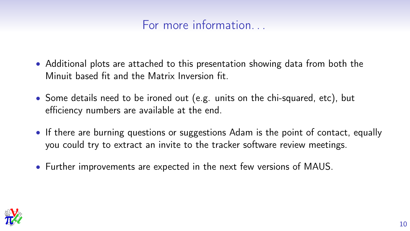## For more information

- Additional plots are attached to this presentation showing data from both the Minuit based fit and the Matrix Inversion fit.
- Some details need to be ironed out (e.g. units on the chi-squared, etc), but efficiency numbers are available at the end.
- If there are burning questions or suggestions Adam is the point of contact, equally you could try to extract an invite to the tracker software review meetings.
- Further improvements are expected in the next few versions of MAUS.

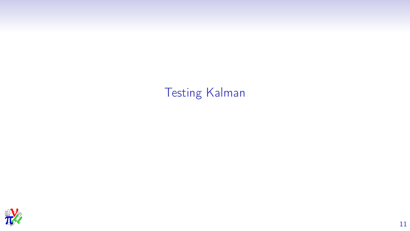Testing Kalman

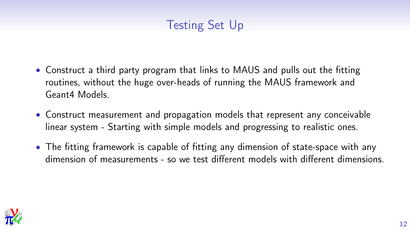# Testing Set Up

- Construct a third party program that links to MAUS and pulls out the fitting routines, without the huge over-heads of running the MAUS framework and Geant4 Models.
- Construct measurement and propagation models that represent any conceivable linear system - Starting with simple models and progressing to realistic ones.
- The fitting framework is capable of fitting any dimension of state-space with any dimension of measurements - so we test different models with different dimensions.

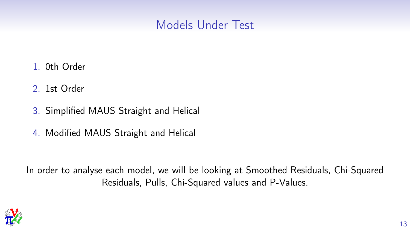## Models Under Test

- 1. 0th Order
- 2. 1st Order
- 3. Simplified MAUS Straight and Helical
- 4. Modified MAUS Straight and Helical

In order to analyse each model, we will be looking at Smoothed Residuals, Chi-Squared Residuals, Pulls, Chi-Squared values and P-Values.

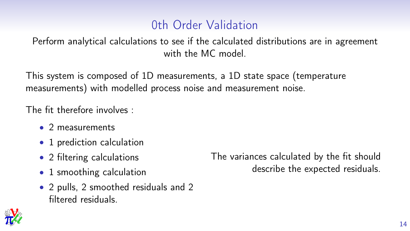## 0th Order Validation

Perform analytical calculations to see if the calculated distributions are in agreement with the MC model

This system is composed of 1D measurements, a 1D state space (temperature measurements) with modelled process noise and measurement noise.

The fit therefore involves :

- 2 measurements
- 1 prediction calculation
- 2 filtering calculations
- 1 smoothing calculation
- 2 pulls, 2 smoothed residuals and 2 filtered residuals.



The variances calculated by the fit should describe the expected residuals.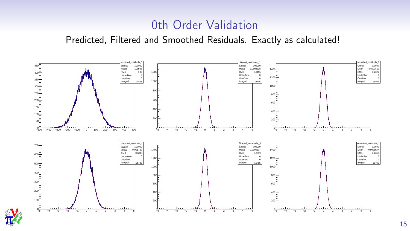## 0th Order Validation

Predicted, Filtered and Smoothed Residuals. Exactly as calculated!



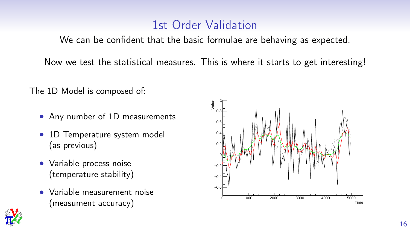## 1st Order Validation

We can be confident that the basic formulae are behaving as expected.

Now we test the statistical measures. This is where it starts to get interesting!

The 1D Model is composed of:

- Any number of 1D measurements
- 1D Temperature system model (as previous)
- Variable process noise (temperature stability)
- Variable measurement noise (measument accuracy)



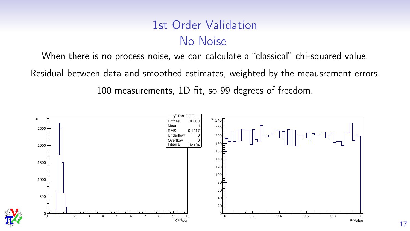# 1st Order Validation No Noise

When there is no process noise, we can calculate a "classical" chi-squared value.

Residual between data and smoothed estimates, weighted by the meausrement errors.

100 measurements, 1D fit, so 99 degrees of freedom.



*MICE*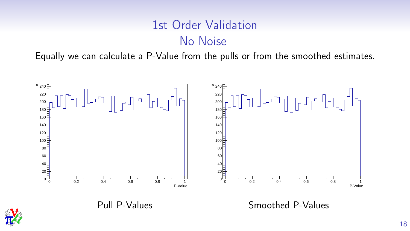# 1st Order Validation No Noise

Equally we can calculate a P-Value from the pulls or from the smoothed estimates.



Pull P-Values Smoothed P-Values

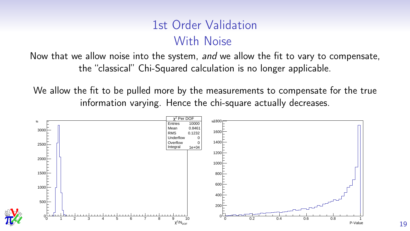# 1st Order Validation With Noise

Now that we allow noise into the system, and we allow the fit to vary to compensate, the "classical" Chi-Squared calculation is no longer applicable.

We allow the fit to be pulled more by the measurements to compensate for the true information varying. Hence the chi-square actually decreases.



*MICE*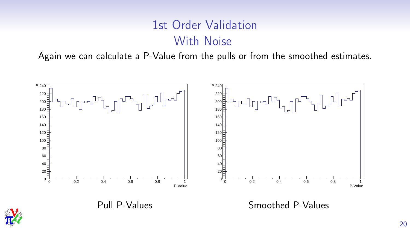# 1st Order Validation With Noise

Again we can calculate a P-Value from the pulls or from the smoothed estimates.



Pull P-Values Smoothed P-Values

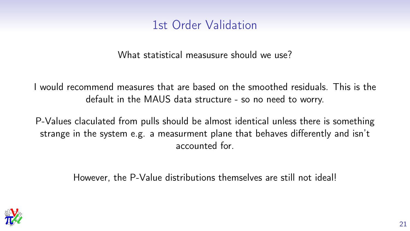## 1st Order Validation

What statistical measusure should we use?

I would recommend measures that are based on the smoothed residuals. This is the default in the MAUS data structure - so no need to worry.

P-Values claculated from pulls should be almost identical unless there is something strange in the system e.g. a measurment plane that behaves differently and isn't accounted for.

However, the P-Value distributions themselves are still not ideal!

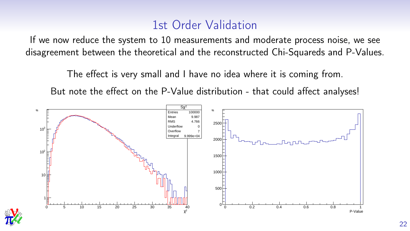## 1st Order Validation

If we now reduce the system to 10 measurements and moderate process noise, we see disagreement between the theoretical and the reconstructed Chi-Squareds and P-Values.

The effect is very small and I have no idea where it is coming from.

But note the effect on the P-Value distribution - that could affect analyses!



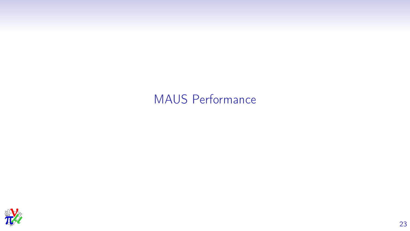# MAUS Performance

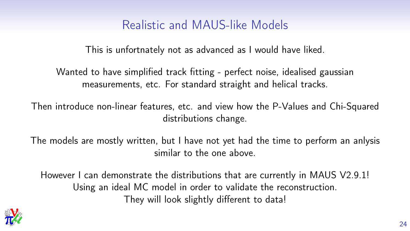## Realistic and MAUS-like Models

This is unfortnately not as advanced as I would have liked.

Wanted to have simplified track fitting - perfect noise, idealised gaussian measurements, etc. For standard straight and helical tracks.

Then introduce non-linear features, etc. and view how the P-Values and Chi-Squared distributions change.

The models are mostly written, but I have not yet had the time to perform an anlysis similar to the one above.

However I can demonstrate the distributions that are currently in MAUS V2.9.1! Using an ideal MC model in order to validate the reconstruction. They will look slightly different to data!

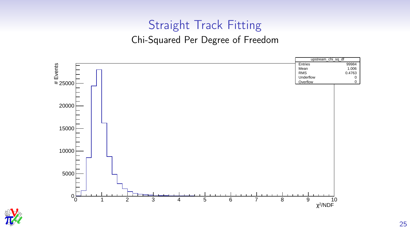## Straight Track Fitting

#### Chi-Squared Per Degree of Freedom



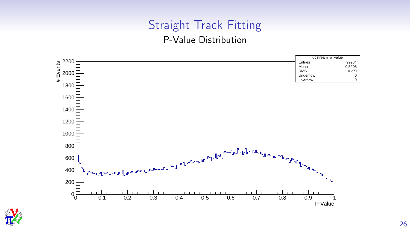## Straight Track Fitting

#### P-Value Distribution



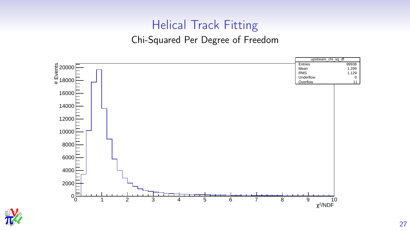## Helical Track Fitting

#### Chi-Squared Per Degree of Freedom



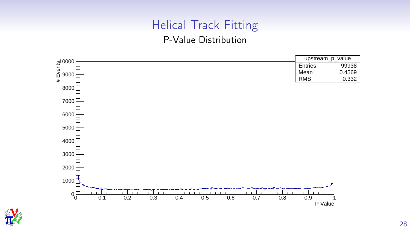# Helical Track Fitting

#### P-Value Distribution



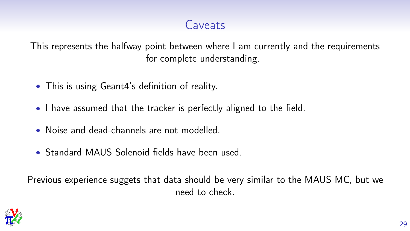# Caveats

This represents the halfway point between where I am currently and the requirements for complete understanding.

- This is using Geant4's definition of reality.
- I have assumed that the tracker is perfectly aligned to the field.
- Noise and dead-channels are not modelled.
- Standard MAUS Solenoid fields have been used.

Previous experience suggets that data should be very similar to the MAUS MC, but we need to check.

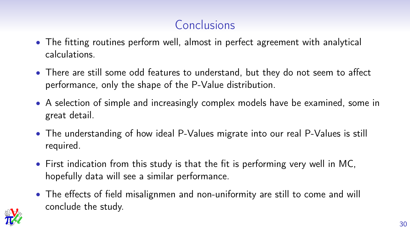# Conclusions

- The fitting routines perform well, almost in perfect agreement with analytical calculations.
- There are still some odd features to understand, but they do not seem to affect performance, only the shape of the P-Value distribution.
- A selection of simple and increasingly complex models have be examined, some in great detail.
- The understanding of how ideal P-Values migrate into our real P-Values is still required.
- First indication from this study is that the fit is performing very well in MC, hopefully data will see a similar performance.
- The effects of field misalignmen and non-uniformity are still to come and will conclude the study.

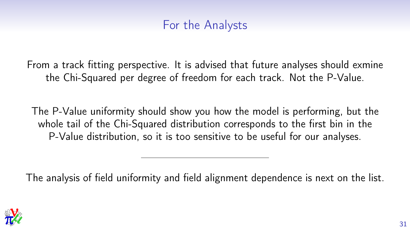### For the Analysts

From a track fitting perspective. It is advised that future analyses should exmine the Chi-Squared per degree of freedom for each track. Not the P-Value.

The P-Value uniformity should show you how the model is performing, but the whole tail of the Chi-Squared distribution corresponds to the first bin in the P-Value distribution, so it is too sensitive to be useful for our analyses.

The analysis of field uniformity and field alignment dependence is next on the list.